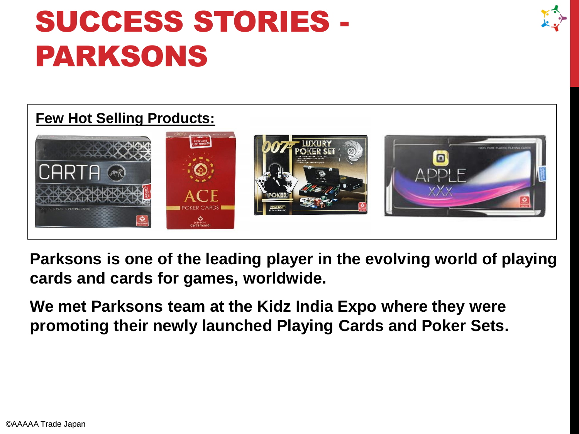# SUCCESS STORIES - PARKSONS

#### **Few Hot Selling Products:**



**Parksons is one of the leading player in the evolving world of playing cards and cards for games, worldwide.** 

**We met Parksons team at the Kidz India Expo where they were promoting their newly launched Playing Cards and Poker Sets.**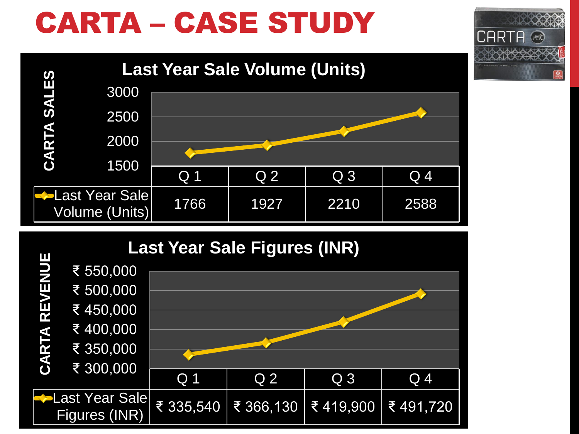# CARTA – CASE STUDY





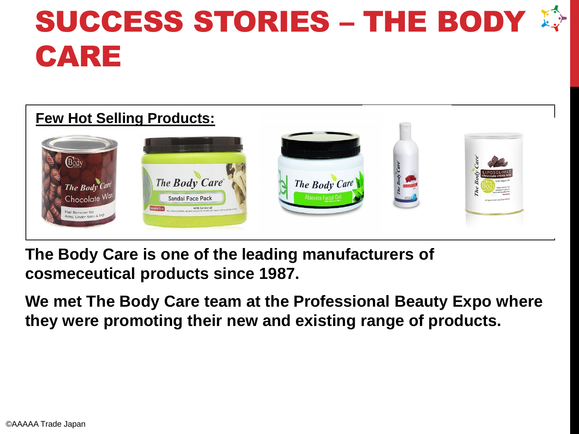# SUCCESS STORIES - THE BODY CARE

| <b>Few Hot Selling Products:</b>                                                      |                                                                                                                                                |                                      |              |                                                                                                                                                                            |  |
|---------------------------------------------------------------------------------------|------------------------------------------------------------------------------------------------------------------------------------------------|--------------------------------------|--------------|----------------------------------------------------------------------------------------------------------------------------------------------------------------------------|--|
| Body<br>The Body Care<br>Chocolate Wax<br>Hair Remover for<br>Arms, Under Arms & Legs | 「大きなもののたとうとうととととととしてくらにははなる」<br><b>ES-11-11-0-0-0-1 (EEEE)</b><br>The Body Care®<br><b>Sandal Face Pack</b><br>PARABEN FREE<br>With Sandal oil | The Body Care<br>Aloevera Facial Gel | <b>Excel</b> | LIPOSOLUBLE<br>chocolate crème wax<br>with argan of<br>helps remove to<br>removes in growth.<br>moisturising after feel<br>Non-Society<br>ell type of skin arcid sensitive |  |

**The Body Care is one of the leading manufacturers of cosmeceutical products since 1987.**

**We met The Body Care team at the Professional Beauty Expo where they were promoting their new and existing range of products.**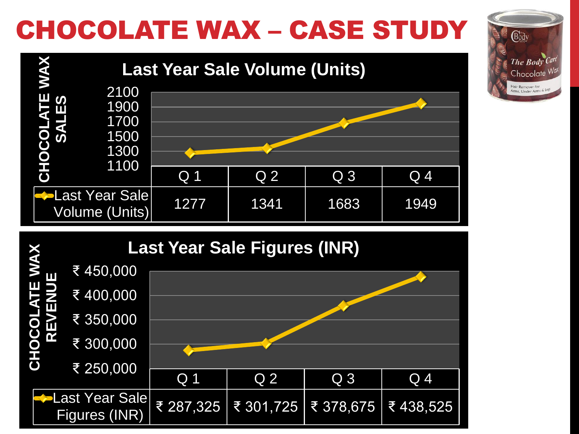### CHOCOLATE WAX – CASE STUDY

Body

The Body Ca Chocolate W Hair Remover for Arms, Under Arms &



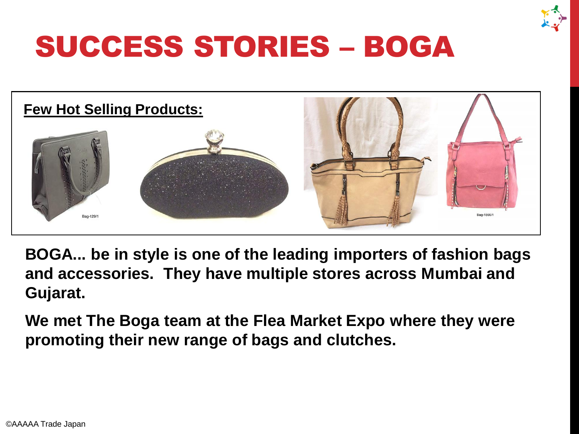![](_page_4_Picture_0.jpeg)

![](_page_4_Picture_1.jpeg)

**BOGA... be in style is one of the leading importers of fashion bags and accessories. They have multiple stores across Mumbai and Gujarat.**

**We met The Boga team at the Flea Market Expo where they were promoting their new range of bags and clutches.**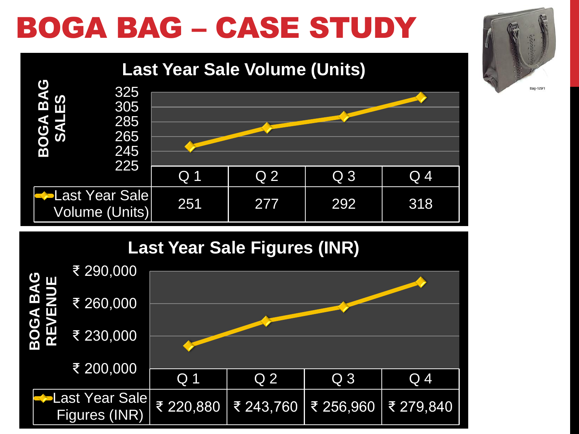# BOGA BAG – CASE STUDY

![](_page_5_Figure_1.jpeg)

![](_page_5_Figure_2.jpeg)

![](_page_5_Figure_3.jpeg)

![](_page_5_Picture_4.jpeg)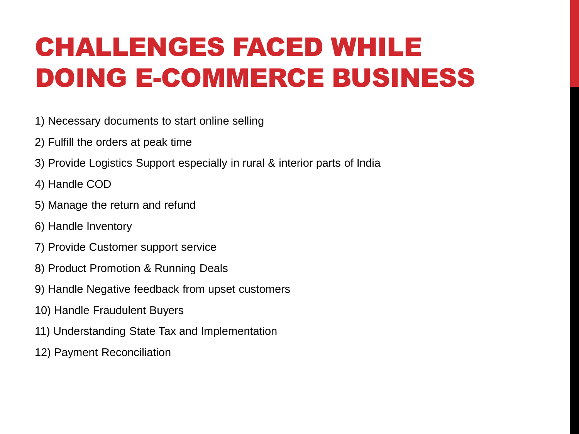### CHALLENGES FACED WHILE DOING E-COMMERCE BUSINESS

- 1) Necessary documents to start online selling
- 2) Fulfill the orders at peak time
- 3) Provide Logistics Support especially in rural & interior parts of India
- 4) Handle COD
- 5) Manage the return and refund
- 6) Handle Inventory
- 7) Provide Customer support service
- 8) Product Promotion & Running Deals
- 9) Handle Negative feedback from upset customers
- 10) Handle Fraudulent Buyers
- 11) Understanding State Tax and Implementation
- 12) Payment Reconciliation